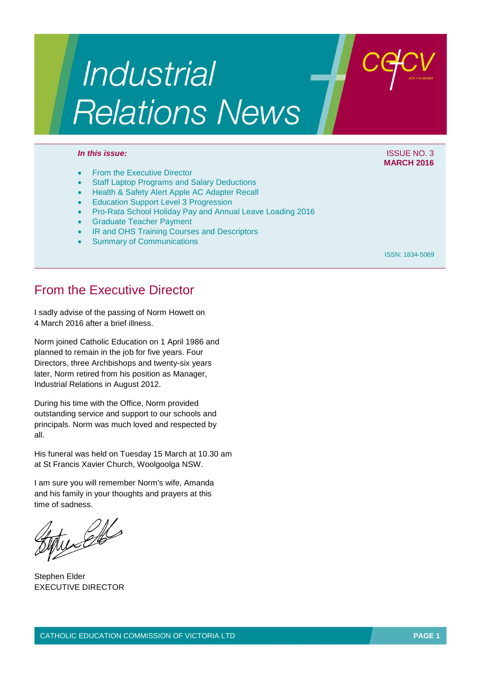# Industrial **Relations News**

#### *In this issue:* ISSUE NO. 3

- From the Executive Director
- **Staff Laptop Programs and Salary Deductions**
- Health & Safety Alert Apple AC Adapter Recall
- **Education Support Level 3 Progression**
- Pro-Rata School Holiday Pay and Annual Leave Loading 2016
- Graduate Teacher Payment
- **IR and OHS Training Courses and Descriptors**
- **Summary of Communications**

ISSN: 1834-5069

**MARCH 2016**

## From the Executive Director

I sadly advise of the passing of Norm Howett on 4 March 2016 after a brief illness.

Norm joined Catholic Education on 1 April 1986 and planned to remain in the job for five years. Four Directors, three Archbishops and twenty-six years later, Norm retired from his position as Manager, Industrial Relations in August 2012.

During his time with the Office, Norm provided outstanding service and support to our schools and principals. Norm was much loved and respected by all.

His funeral was held on Tuesday 15 March at 10.30 am at St Francis Xavier Church, Woolgoolga NSW.

I am sure you will remember Norm's wife, Amanda and his family in your thoughts and prayers at this time of sadness.

tucello

Stephen Elder EXECUTIVE DIRECTOR

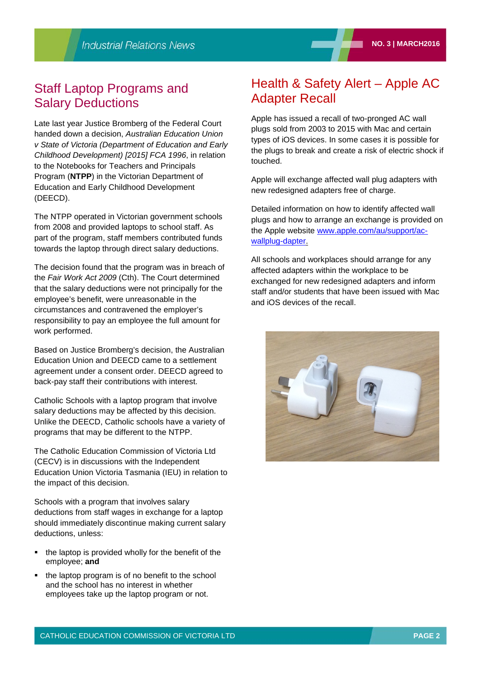## Staff Laptop Programs and Salary Deductions

Late last year Justice Bromberg of the Federal Court handed down a decision, *Australian Education Union v State of Victoria (Department of Education and Early Childhood Development) [2015] FCA 1996*, in relation to the Notebooks for Teachers and Principals Program (**NTPP**) in the Victorian Department of Education and Early Childhood Development (DEECD).

The NTPP operated in Victorian government schools from 2008 and provided laptops to school staff. As part of the program, staff members contributed funds towards the laptop through direct salary deductions.

The decision found that the program was in breach of the *Fair Work Act 2009* (Cth). The Court determined that the salary deductions were not principally for the employee's benefit, were unreasonable in the circumstances and contravened the employer's responsibility to pay an employee the full amount for work performed.

Based on Justice Bromberg's decision, the Australian Education Union and DEECD came to a settlement agreement under a consent order. DEECD agreed to back-pay staff their contributions with interest.

Catholic Schools with a laptop program that involve salary deductions may be affected by this decision. Unlike the DEECD, Catholic schools have a variety of programs that may be different to the NTPP.

The Catholic Education Commission of Victoria Ltd (CECV) is in discussions with the Independent Education Union Victoria Tasmania (IEU) in relation to the impact of this decision.

Schools with a program that involves salary deductions from staff wages in exchange for a laptop should immediately discontinue making current salary deductions, unless:

- the laptop is provided wholly for the benefit of the employee; **and**
- the laptop program is of no benefit to the school and the school has no interest in whether employees take up the laptop program or not.

## Health & Safety Alert – Apple AC Adapter Recall

Apple has issued a recall of two-pronged AC wall plugs sold from 2003 to 2015 with Mac and certain types of iOS devices. In some cases it is possible for the plugs to break and create a risk of electric shock if touched.

Apple will exchange affected wall plug adapters with new redesigned adapters free of charge.

Detailed information on how to identify affected wall plugs and how to arrange an exchange is provided on the Apple website [www.apple.com/au/support/ac](https://www.apple.com/au/support/ac-wallplug-dapter/)[wallplug-dapter.](https://www.apple.com/au/support/ac-wallplug-dapter/)

All schools and workplaces should arrange for any affected adapters within the workplace to be exchanged for new redesigned adapters and inform staff and/or students that have been issued with Mac and iOS devices of the recall.

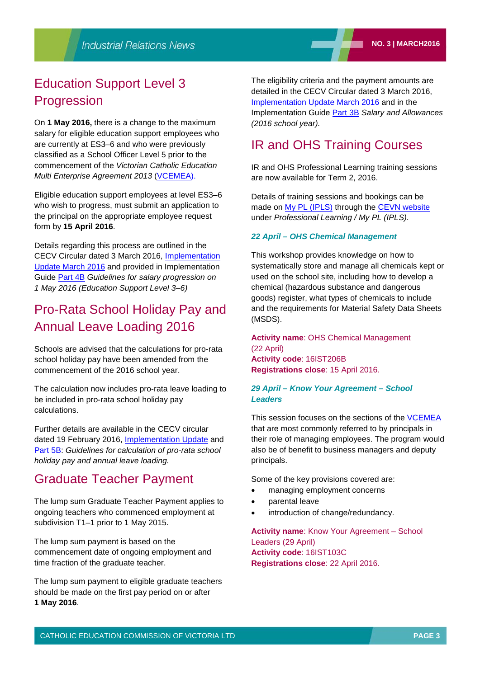# Education Support Level 3 **Progression**

On **1 May 2016,** there is a change to the maximum salary for eligible education support employees who are currently at ES3–6 and who were previously classified as a School Officer Level 5 prior to the commencement of the *Victorian Catholic Education Multi Enterprise Agreement 2013* [\(VCEMEA\)](http://www.cecv.catholic.edu.au/vcsa/Agreement_2013/VCEMEA_2013.pdf).

Eligible education support employees at level ES3–6 who wish to progress, must submit an application to the principal on the appropriate employee request form by **15 April 2016**.

Details regarding this process are outlined in the CECV Circular dated 3 March 2016, [Implementation](http://www.cecv.catholic.edu.au/vcsa/communications/CECV_VCEMEA_Implementation_Update_March_2016.pdf) [Update](http://www.cecv.catholic.edu.au/vcsa/communications/CECV_VCEMEA_Implementation_Update_March_2016.pdf) March 2016 and provided in Implementation Guide [Part](http://www.cecv.catholic.edu.au/vcsa/Implementation_Guidelines/ES_Progression_2016/Part_4B.pdf) 4B *Guidelines for salary progression on 1 May 2016 (Education Support Level 3–6)*

# Pro-Rata School Holiday Pay and Annual Leave Loading 2016

Schools are advised that the calculations for pro-rata school holiday pay have been amended from the commencement of the 2016 school year.

The calculation now includes pro-rata leave loading to be included in pro-rata school holiday pay calculations.

Further details are available in the CECV circular dated 19 February 2016, **[Implementation](http://www.cecv.catholic.edu.au/vcsa/communications/CECV_VCEMEA_2013_Implementation_Guide_5B.pdf) Update** and [Part](http://www.cecv.catholic.edu.au/vcsa/Implementation_Guidelines/School_Holiday_Pay_2016/Part_5B_School_Holiday_Pay_Implementation_Guide.pdf) 5B: *Guidelines for calculation of pro-rata school holiday pay and annual leave loading.*

## Graduate Teacher Payment

The lump sum Graduate Teacher Payment applies to ongoing teachers who commenced employment at subdivision T1–1 prior to 1 May 2015.

The lump sum payment is based on the commencement date of ongoing employment and time fraction of the graduate teacher.

The lump sum payment to eligible graduate teachers should be made on the first pay period on or after **1 May 2016**.

The eligibility criteria and the payment amounts are detailed in the CECV Circular dated 3 March 2016, [Implementation](http://www.cecv.catholic.edu.au/vcsa/communications/CECV_VCEMEA_Implementation_Update_March_2016.pdf) Update March 2016 and in the Implementation Guide [Part](http://www.cecv.catholic.edu.au/vcsa/Implementation_Guidelines/Salary_Implementation/Part_3_B.pdf) 3B *Salary and Allowances (2016 school year).*

# IR and OHS Training Courses

IR and OHS Professional Learning training sessions are now available for Term 2, 2016.

Details of training sessions and bookings can be made on My PL [\(IPLS\)](http://cevn.cecv.catholic.edu.au/ProfessionalLearning.aspx?id=7160) through the CEVN [website](http://cevn.cecv.catholic.edu.au/cevnlogin.aspx) under *Professional Learning / My PL (IPLS)*.

#### *22 April – OHS Chemical Management*

This workshop provides knowledge on how to systematically store and manage all chemicals kept or used on the school site, including how to develop a chemical (hazardous substance and dangerous goods) register, what types of chemicals to include and the requirements for Material Safety Data Sheets (MSDS).

**Activity name**: OHS Chemical Management (22 April) **Activity code**: 16IST206B **Registrations close**: 15 April 2016.

#### *29 April – Know Your Agreement – School Leaders*

This session focuses on the sections of the [VCEMEA](http://web.cecv.catholic.edu.au/vcsa/Agreement_2013/VCEMEA_2013.pdf) that are most commonly referred to by principals in their role of managing employees. The program would also be of benefit to business managers and deputy principals.

Some of the key provisions covered are:

- managing employment concerns
- parental leave
- introduction of change/redundancy.

**Activity name**: Know Your Agreement – School Leaders (29 April) **Activity code**: 16IST103C **Registrations close**: 22 April 2016.